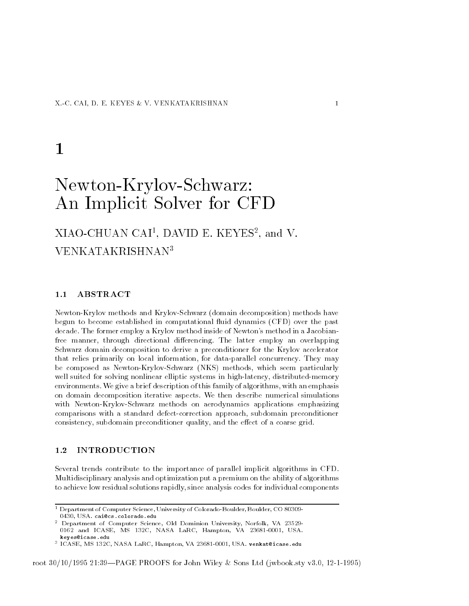# $\mathbf{1}$

# Newton-Krylov-Schwarz: An Implicit Solver for CFD

## AIAU-UHUAN UAI, DAVID E. KEYES, and V. VENKATAKRISHNAN<sup>3</sup>

## 1.1 ABSTRACT

Newton-Krylov methods and Krylov-Schwarz (domain decomposition) methods have begun to become established in computational fluid dynamics (CFD) over the past decade. The former employ a Krylov method inside of Newton's method in a Jacobianfree manner through directional di erencing The latter employ an overlapping Schwarz domain decomposition to derive a preconditioner for the Krylov accelerator that relies primarily on local information, for data-parallel concurrency. They may be composed as Newton-Krylov-Schwarz (NKS) methods, which seem particularly well suited for solving nonlinear elliptic systems in high-latency, distributed-memory environments. We give a brief description of this family of algorithms, with an emphasis on domain decomposition iterative aspects We then describe numerical simulations with Newton-Krylov-Schwarz methods on aerodynamics applications emphasizing comparisons with a standard defect-correction approach, subdomain preconditioner consistency subdomain preconditioner quality  $\mathcal{L}$  and the economic grid the economic grid coarse grid to experiment and the experimental subdomaintary  $\mathcal{L}$ 

#### 1.2 INTRODUCTION

Several trends contribute to the importance of parallel implicit algorithms in CFD Multidisciplinary analysis and optimization put a premium on the ability of algorithms to achieve low residual solutions rapidly, since analysis codes for individual components

 $^\circ$  Department of Computer Science, University of Colorado-Boulder, Boulder, CO 80309-  $^\circ$ 0430, USA. cai@cs.colorado.edu

 $\,$  - Department of Computer Science, Ord Dominion University, Norfolk, VA 25529-  $\,$ and and iterative and iterative control in the control in the second control of the second control of the second keves@icase.edu keyesicaseedu

<sup>–</sup> IUASE, MS 132U, NASA LaRU, Hampton, VA 23681-0001, USA. Venkat@icase.edu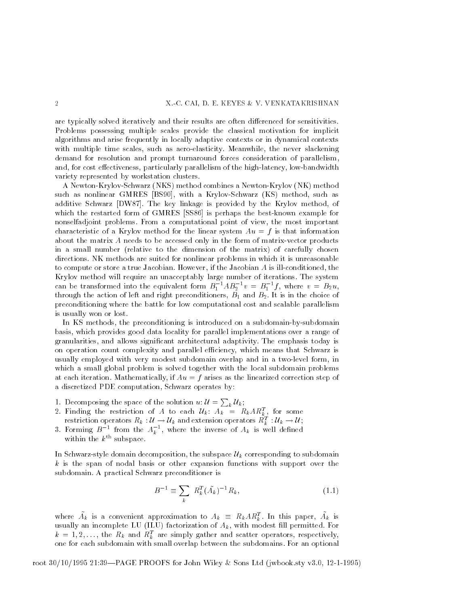are typically solved iteratively and their results are often di erenced for sensitivities Problems possessing multiple scales provide the classical motivation for implicit algorithms and arise frequently in locally adaptive contexts or in dynamical contexts with multiple time scales, such as aero-elasticity. Meanwhile, the never slackening demand for resolution and prompt turnaround forces consideration of parallelism ective cost external responsively particularly particularly at the disputence of the cost of the minimum contr variety represented by workstation clusters

A Newton-Krylov-Schwarz (NKS) method combines a Newton-Krylov (NK) method such as nonlinear GMRES [BS90], with a Krylov-Schwarz (KS) method, such as additive Schwarz  $DWS7$ . The key linkage is provided by the Krylov method, of which the restarted form of GMRES [SS86] is perhaps the best-known example for nonselfadjoint problems. From a computational point of view, the most important characteristic of a Krylov method for the linear system  $Au = f$  is that information about the matrix  $A$  needs to be accessed only in the form of matrix-vector products in a small number (relative to the dimension of the matrix) of carefully chosen directions NK methods are suited for nonlinear problems in which it is unreasonable to compute or store a true Jacobian. However, if the Jacobian  $A$  is ill-conditioned, the Krylov method will require an unacceptably large number of iterations The system can be transformed into the equivalent form  $B_1$   $AB_2$   $v = B_1$   $f$ , where  $v = B_2 u$ , through the action of left and right preconditioners,  $B_1$  and  $B_2$ . It is in the choice of preconditioning where the battle for low computational cost and scalable parallelism is usually won or lost

In KS methods, the preconditioning is introduced on a subdomain-by-subdomain basis, which provides good data locality for parallel implementations over a range of granularities, and allows significant architectural adaptivity. The emphasis today is on operation count complexity and parallel efficiency, which means that Schwarz is usually employed with very modest subdomain overlap and in a two-level form, in which a small global problem is solved together with the local subdomain problems at each iteration. Mathematically, if  $Au = f$  arises as the linearized correction step of a discretized PDE computation, Schwarz operates by:

- 1. Decomposing the space of the solution  $u: \mathcal{U} = \sum_k \mathcal{U}_k$ ;  $k - n$
- 2. Finding the restriction of  $A$  to each  $\mathcal{U}_k \colon\thinspace A_k \enskip = \enskip K_k A \mathcal{K}_k^* \;,$  for some restriction operators  $\kappa_k:\omega\to\omega_k$  and extension operators  $\kappa_k^*: \omega_k\to\omega$  ;
- 3. Forming  $B^{-1}$  from the  $A_k^{\dagger}$ , where the inverse of  $A_k$  is well defined within the  $k^{\text{th}}$  subspace.

In Schwarzstyle domain decompositions to the subspace UK corresponding to subdomain the subspace U  $k$  is the span of nodal basis or other expansion functions with support over the subdomain A practical Schwarz preconditioner is

$$
B^{-1} \equiv \sum_{k} R_{k}^{T} (\tilde{A}_{k})^{-1} R_{k}, \qquad (1.1)
$$

where  $A_k$  is a convenient approximation to  $A_k \equiv R_k A K_k^*$ . In this paper,  $A_k$  is usually an incomplete LU ILU factorization of Ak with modest ll permitted For  $k = 1, 2, \ldots,$  the  $R_k$  and  $R_k^*$  are simply gather and scatter operators, respectively, one for each subdomain with small overlap between the subdomains For an optional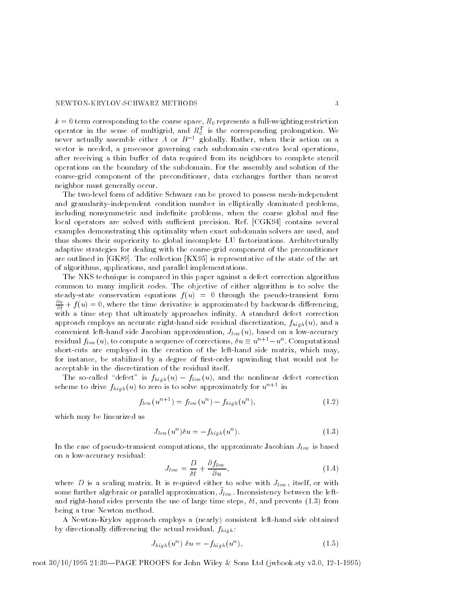### NEWTON-KRYLOV-SCHWARZ METHODS

k term corresponding to the coarse space space space of restriction  $\boldsymbol{A}$  functions and operator in the sense of multigrid, and  $\kappa_0^*$  is the corresponding prolongation. We never actually assemble either A or  $B^{-1}$  globally. Rather, when their action on a vector is needed, a processor governing each subdomain executes local operations. er of data receiving a thin building and its neighbors to complete steam its neighbors to complete steam in th operations on the boundary of the subdomain For the assembly and solution of the coarse-grid component of the preconditioner, data exchanges further than nearest neighbor must generally occur

The two-level form of additive Schwarz can be proved to possess mesh-independent and granularity-independent condition number in elliptically dominated problems. including nonsymmetric and indefinite problems, when the coarse global and fine local operators are solved with sufficient precision. Ref. [CGK94] contains several examples demonstrating this optimality when exact subdomain solvers are used, and thus shows their superiority to global incomplete LU factorizations Architecturally adaptive strategies for dealing with the coarse-grid component of the preconditioner are outlined in  $[GK89]$ . The collection  $[KX95]$  is representative of the state of the art of algorithms, applications, and parallel implementations.

The NKS technique is compared in this paper against a defect correction algorithm common to many implicit codes The objective of either algorithm is to solve the steady-state conservation equations  $f(u) = 0$  through the pseudo-transient form  $\frac{\partial u}{\partial t} + f(u) = 0$ , where the time derivative is approximated by backwards differencing, with a time step that ultimately approaches infinity. A standard defect correction approaches and projection and side residual discretization in an accurate residual discretization of the resid convenient left-hand side Jacobian approximation,  $J_{low}(u)$ , based on a low-accuracy residual  $f_{low}(u)$ , to compute a sequence of corrections,  $\delta u \equiv u^{n+1} - u^{n}$ . Computational short-cuts are employed in the creation of the left-hand side matrix, which may, for instance, be stabilized by a degree of first-order upwinding that would not be acceptable in the discretization of the residual itself

 $\mathcal{J}$  for social using under the non-linear defect correction  $\mathcal{J}$  and the nonlinear defect correction of  $\mathcal{J}$ scheme to drive  $f_{high}(u)$  to zero is to solve approximately for  $u^{n+1}$  in

$$
f_{low}(u^{n+1}) = f_{low}(u^n) - f_{high}(u^n),
$$
\n(1.2)

which may be linearized as

$$
J_{low}(u^n)\delta u = -f_{high}(u^n). \tag{1.3}
$$

In the case of pseudotransient computations of pseudotransient computations  $\Gamma$  approximate  $\Gamma$ on a low-accuracy residual:

$$
J_{low} = \frac{D}{\delta t} + \frac{\partial f_{low}}{\partial u},\tag{1.4}
$$

where D is a scaling matrix. It is required either to solve with  $J_{low}$ , itself, or with some further algebraic or parallel approximation,  $J_{\ell \rho \eta \eta}$  , inconsistency between the leftand right district times prevents the use of large times steps, it, which prevents , result that the steps of being a true Newton method

A Newton-Krylov approach employs a (nearly) consistent left-hand side obtained  $\alpha$  , directionally directional residual residual residual  $\alpha$  fhigh  $\alpha$ 

$$
J_{high}(u^n) \ \delta u = -f_{high}(u^n), \tag{1.5}
$$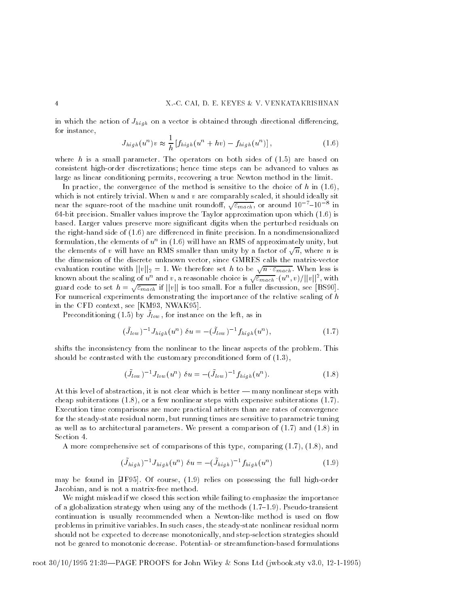in which the action of Jhigh on a vector is obtained through directional di erencing for instance 

$$
J_{high}(u^n)v \approx \frac{1}{h} \left[ f_{high}(u^n + hv) - f_{high}(u^n) \right],
$$
\n(1.6)

where h is a small parameter. The operators on both sides of  $(1.5)$  are based on consistent high-order discretizations; hence time steps can be advanced to values as large as linear conditioning permits, recovering a true Newton method in the limit.

In practice, the convergence of the method is sensitive to the choice of h in  $(1.6)$ , which is not entirely trivial. When  $u$  and  $v$  are comparably scaled, it should ideally sit near the square-root of the machine unit roundoff,  $\sqrt{\varepsilon_{mach}}$ , or around  $10^{-7}$ – $10^{-8}$  in 64-bit precision. Smaller values improve the Taylor approximation upon which  $(1.6)$  is based Larger values preserve more signicant digits when the perturbed residuals on the righthand side of are di erenced in nite precision In a nondimensionalized formulation, the elements of  $u^\ast$  in (1.0) will have an RMS of approximately unity, but the elements of v will have an RMS smaller than unity by a factor of  $\sqrt{n}$ , where n is the dimension of the discrete unknown vector, since GMRES calls the matrix-vector evaluation routine with  $||v||_2 = 1$ . We therefore set h to be  $\sqrt{n \cdot \varepsilon_{mach}}$ . When less is<br>known about the scaling of  $u^n$  and  $v$ , a reasonable choice is  $\sqrt{\varepsilon_{mach}} \cdot (u^n, v) / ||v||^2$ , with guard code to set  $h = \sqrt{\varepsilon_{mach}}$  if  $||v||$  is too small. For a fuller discussion, see [BS90]. For numerical experiments demonstrating the importance of the relative scaling of h in the CFD context  $\mathcal{A}$  is the CFD context. The CFD context is the CFD context of the CFD context is the CFD context.

I reconditioning  $(1.9)$  by  $J_{\{0\}\}\}$ , for instance on the left, as in

$$
(\tilde{J}_{low})^{-1} J_{high}(u^n) \ \delta u = -(\tilde{J}_{low})^{-1} f_{high}(u^n), \qquad (1.7)
$$

shifts the inconsistency from the nonlinear to the linear aspects of the problem This showed be contrasted with the contrasted precedition form of 1911, the state of  $\{1,2,3,4\}$ 

$$
(\tilde{J}_{low})^{-1} J_{low}(u^n) \ \delta u = -(\tilde{J}_{low})^{-1} f_{high}(u^n). \tag{1.8}
$$

At this level of abstraction, it is not clear which is better — many nonlinear steps with cheap subiterations  $(1.8)$ , or a few nonlinear steps with expensive subiterations  $(1.7)$ . Execution time comparisons are more practical arbiters than are rates of convergence for the steady-state residual norm, but running times are sensitive to parametric tuning as well as to architectural parameters. We present a comparison of  $(1.7)$  and  $(1.8)$  in Section 4.

A more comprehensive set of comparisons of this type, comparing  $(1.7)$ ,  $(1.8)$ , and

$$
(\tilde{J}_{high})^{-1} J_{high}(u^n) \ \delta u = -(\tilde{J}_{high})^{-1} f_{high}(u^n) \tag{1.9}
$$

may be found in  $[JF95]$ . Of course,  $(1.9)$  relies on possessing the full high-order Jacobian, and is not a matrix-free method.

We might mislead if we closed this section while failing to emphasize the importance of a globalization strategy when using any of the methods  $(1.7-1.9)$ . Pseudo-transient continuation is usually recommended when a Newton-like method is used on flow problems in primitive variables. In such cases, the steady-state nonlinear residual norm should not be expected to decrease monotonically, and step-selection strategies should not be geared to monotonic decrease. Potential- or streamfunction-based formulations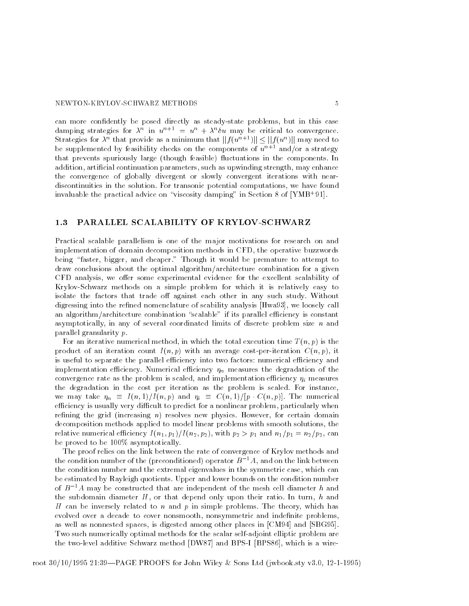#### NEWTON-KRYLOV-SCHWARZ METHODS

can more confidently be posed directly as steady-state problems, but in this case damping strategies for  $\lambda^{\sim}$  in  $u^{\sim}$   $^+$   $\equiv$   $u^{\sim}$   $+$   $\lambda^{\sim}$ o $u$  may be critical to convergence. Strategies for  $\lambda^{\prime\prime}$  that provide as a minimum that  $||f(u^{\prime\prime}|^+)|| \leq ||f(u^{\prime\prime})||$  may need to be supplemented by feasibility checks on the components of  $u^{n+1}$  and/or a strategy that prevents spuriously large (though feasible) fluctuations in the components. In addition, artificial continuation parameters, such as upwinding strength, may enhance the convergence of globally divergent or slowly convergent iterations with near discontinuities in the solution. For transonic potential computations, we have found invaluable the practical advice on viscosity damping in Section of YMB

## 1.3 PARALLEL SCALABILITY OF KRYLOV-SCHWARZ

Practical scalable parallelism is one of the major motivations for research on and implementation of domain decomposition methods in CFD, the operative buzzwords being "faster, bigger, and cheaper." Though it would be premature to attempt to draw conclusions about the optimal algorithm/architecture combination for a given CFD analysis we o er some experimental evidence for the excellent scalability of Krylov-Schwarz methods on a simple problem for which it is relatively easy to isolate the factors that trade o against each other in any such study Without digressing into the renewall into the renewall called nomenclature of scability and scalely called nomenclature an algorithm/architecture combination "scalable" if its parallel efficiency is constant asymptotically, in any of several coordinated limits of discrete problem size  $n$  and parallel granularity p

For an iterative numerical method, in which the total execution time  $T(n, p)$  is the product of an iteration count  $I(n, p)$  with an average cost-per-iteration  $C(n, p)$ , it is useful to separate the parallel efficiency into two factors: numerical efficiency and implementation eciency Numerical eciency n measures the degradation of the convergence rates as the problem is scaled in measure-problem included and interesting if measures as the degradation in the cost per iteration as the problem is scaled. For instance, we may take  $\eta_{ik}$  and  $\eta_{i}$  and  $\eta_{i}$  for  $\eta_{i}$  and  $\eta_{i}$  and  $\eta_{i}$  p  $\eta_{i}$  p  $\eta_{i}$  for  $i$ efficiency is usually very difficult to predict for a nonlinear problem, particularly when refining the grid (increasing  $n$ ) resolves new physics. However, for certain domain decomposition methods applied to model linear problems with smooth solutions, the relative numerical efficiency  $I(n_1, p_1)/I(n_2, p_2)$ , with  $p_2 > p_1$  and  $n_1/p_1 = n_2/p_2$ , can be proved to be  $100\%$  asymptotically.

The proof relies on the link between the rate of convergence of Krylov methods and the condition number of the (preconditioned) operator  $B^{-1}A$ , and on the link between the condition number and the extremal eigenvalues in the symmetric case, which can be estimated by Rayleigh quotients Upper and lower bounds on the condition number of  $B^{-1}A$  may be constructed that are independent of the mesh cell diameter h and the subdomain diameter  $H$ , or that depend only upon their ratio. In turn, h and H can be inversely related to n and p in simple problems. The theory, which has evolved over a decade to cover nonsmooth, nonsymmetric and indefinite problems, as well as nonnested spaces, is digested among other places in  $[CM94]$  and  $[SBG95]$ . Two such numerically optimal methods for the scalar self-adjoint elliptic problem are the two-level additive Schwarz method [DW87] and BPS-I [BPS86], which is a wire-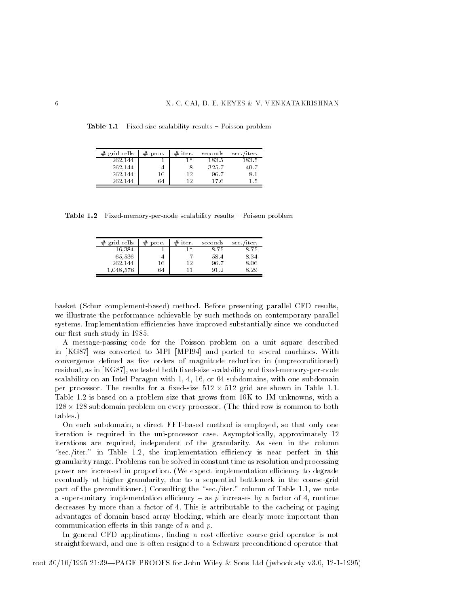**Table 1.1** Pixed-size scalability results  $\equiv$  Foisson problem

| grid cells | #<br>proc. | $#$ iter. | seconds | sec./iter. |
|------------|------------|-----------|---------|------------|
| 262,144    |            | י ו+      | 183.5   | 183.5      |
| 262,144    |            |           | 325.7   | 40.7       |
| 262,144    | 16         | 12        | 96.7    | 8.1        |
| 262.144    | 64         | 19        | 17 6    | 15         |

**Lable 1.4** Fixed-memory-per-node scalability results  $\equiv$  1 01880 if problem

| grid cells | #<br>proc. | $#$ iter. | seconds | sec./iter. |
|------------|------------|-----------|---------|------------|
| 16,384     |            | - *       | 875     | 8.75       |
| 65,536     | 4          |           | 58.4    | 8.34       |
| 262,144    | 16         | 12        | 96.7    | 8.06       |
| .048.576   | 64         |           | 912     | 829        |

basket (Schur complement-based) method. Before presenting parallel CFD results, we illustrate the performance achievable by such methods on contemporary parallel systems. Implementation efficiencies have improved substantially since we conducted our first such study in 1985.

A message-passing code for the Poisson problem on a unit square described in [KG87] was converted to MPI [MPI94] and ported to several machines. With convergence defined as five orders of magnitude reduction in (unpreconditioned) residual, as in [KG87], we tested both fixed-size scalability and fixed-memory-per-node scalability on an Intel Paragon with  $1, 4, 16$ , or  $64$  subdomains, with one subdomain per processor. The results for a fixed-size  $512 \times 512$  grid are shown in Table 1.1. Table  $1.2$  is based on a problem size that grows from  $16K$  to  $1M$  unknowns, with a  $128 \times 128$  subdomain problem on every processor. (The third row is common to both tables

On each subdomain, a direct FFT-based method is employed, so that only one iteration is required in the uni-processor case. Asymptotically, approximately 12 iterations are required, independent of the granularity. As seen in the column "sec./iter." in Table 1.2, the implementation efficiency is near perfect in this granularity range Problems can be solved in constant time as resolution and processing power are increased in proportion. (We expect implementation efficiency to degrade eventually at higher granularity, due to a sequential bottleneck in the coarse-grid part of the preconditioner.) Consulting the "sec./iter." column of Table 1.1, we note a super-unitary implementation efficiency - as  $p$  increases by a factor of 4, runtime decreases by more than a factor of 4. This is attributable to the cacheing or paging advantages of domain-based array blocking, which are clearly more important than communication e ects in this range of n and p

In general CFD applications nding a coste ective coarsegrid operator is not straightforward, and one is often resigned to a Schwarz-preconditioned operator that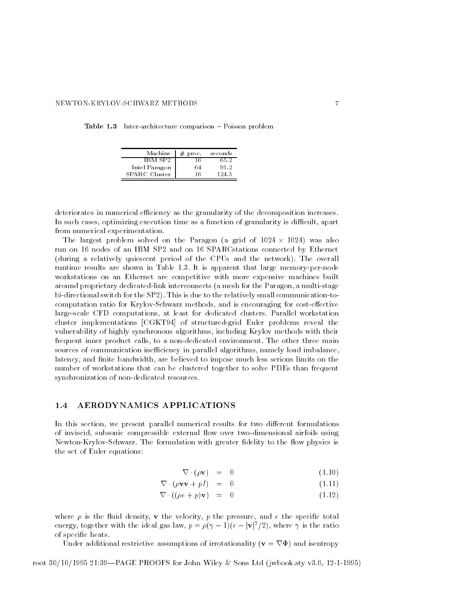| Machine       | proc. | seconds |
|---------------|-------|---------|
| IBM SP2       | 16    | 65 2    |
| Intel Paragon | 64    | 912     |
| SPARC Cluster | 16    | 124.5   |

**Table 1.5** Inter-architecture comparison  $\equiv$  Foisson problem

deteriorates in numerical efficiency as the granularity of the decomposition increases. In such cases, optimizing execution time as a function of granularity is difficult, apart from numerical experimentation

The largest problem solved on the Paragon (a grid of  $1024 \times 1024$ ) was also run on 16 nodes of an IBM SP2 and on 16 SPARCstations connected by Ethernet (during a relatively quiescent period of the CPUs and the network). The overall runtime results are shown in Table - It is apparent that in Table - It is a memory workstations on an Ethernet are competitive with more expensive machines built around proprietary dedicated-link interconnects (a mesh for the Paragon, a multi-stage bi-directional switch for the SP2). This is due to the relatively small communication-tocomputation ratio ratio for the computation of the cost is encouraging for cost corrections. large-scale CFD computations, at least for dedicated clusters. Parallel workstation cluster implementations [CGKT94] of structured-grid Euler problems reveal the vulnerability of highly synchronous algorithms, including Krylov methods with their frequent inner product calls, to a non-dedicated environment. The other three main sources of communication inefficiency in parallel algorithms, namely load imbalance, latency, and finite bandwidth, are believed to impose much less serious limits on the number of workstations that can be clustered together to solve PDEs than frequent synchronization of non-dedicated resources.

## 1.4 AERODYNAMICS APPLICATIONS

In this section we present parallel numerical results for two di erent formulations of inviscid, subsonic compressible external flow over two-dimensional airfoils using Newton-Krylov-Schwarz. The formulation with greater fidelity to the flow physics is the set of Euler equations

$$
\nabla \cdot (\rho \mathbf{v}) = 0 \tag{1.10}
$$

$$
\nabla \cdot (\rho \mathbf{v} \mathbf{v} + pI) = 0 \tag{1.11}
$$

$$
\nabla \cdot ((\rho e + p) \mathbf{v}) = 0 \tag{1.12}
$$

where  $\rho$  is the fluid density,  $\bf{v}$  the velocity,  $p$  the pressure, and  $e$  the specific total energy, together with the ideal gas law,  $p = \rho(\gamma - 1)(e - |\mathbf{V}|^2/2)$ , where  $\gamma$  is the ratio of specific heats.

Under additional restrictive assumptions of irrotationality ( $\mathbf{v} = \nabla \Phi$ ) and isentropy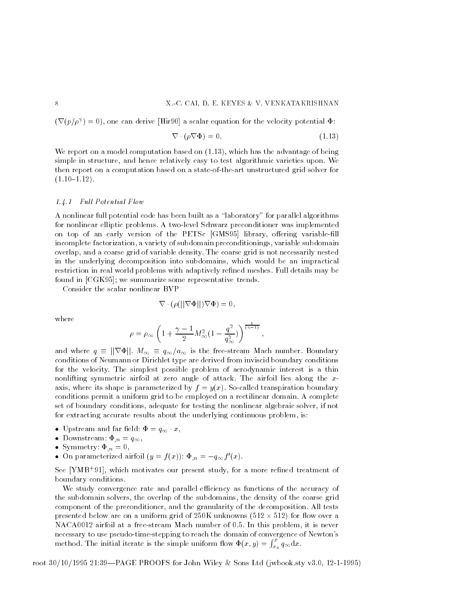(V(p/ $\rho$ ')  $=$  U), one can derive [Hir9U] a scalar equation for the velocity potential  $\Psi$ :

$$
\nabla \cdot (\rho \nabla \Phi) = 0. \tag{1.13}
$$

where  $\mathbf r$  report on a model computation based on  $\mathbf r$ simple in structure, and hence relatively easy to test algorithmic varieties upon. We then report on a computation based on a state-of-the-art unstructured grid solver for  $(1.10-1.12)$ .

#### 1.4.1 I wit I becheved I to do

A nonlinear full potential code has been built as a "laboratory" for parallel algorithms for nonlinear elliptic problems A twolevel Schwarz preconditioner was implemented on top or an early version of the PETSc GMS all the PETSC GMS can be a library of the PETSC incomplete factorization, a variety of subdomain preconditionings, variable subdomain overlap, and a coarse grid of variable density. The coarse grid is not necessarily nested in the underlying decomposition into subdomains, which would be an impractical restriction in real world problems with adaptively refined meshes. Full details may be found in  $[CGK95]$ ; we summarize some representative trends.

Consider the scalar nonlinear BVP

$$
\nabla \cdot (\rho(||\nabla \Phi||)\nabla \Phi) = 0,
$$

where

$$
\rho = \rho_{\infty} \left( 1 + \frac{\gamma - 1}{2} M_{\infty}^2 (1 - \frac{q^2}{q_{\infty}^2}) \right)^{\frac{1}{(\gamma - 1)}},
$$

and where  $q \equiv ||\nabla \Phi||$ .  $M_{\infty} \equiv q_{\infty}/a_{\infty}$  is the free-stream Mach number. Boundary conditions of Neumann or Dirichlet type are derived from inviscid boundary conditions for the velocity The simplest possible problem of aerodynamic interest is a thin nonlifting symmetric airfoil at zero angle of attack The airfoil lies along the x axis, where its shape is parameterized by  $f = y(x)$ . So-called transpiration boundary conditions permit a uniform grid to be employed on a rectilinear domain A complete set of boundary conditions, adequate for testing the nonlinear algebraic solver, if not for extracting accurate results about the underlying continuous problem, is:

- Upstream and far field:  $\Phi = q_{\infty} \cdot x$ ,
- Downstream "-n q
- $S_{\rm{S}}$  , and  $S_{\rm{S}}$  is the set of  $S_{\rm{S}}$ n
- $\bullet$  On parameterized airfoil  $(y = f(x))$ :  $\Psi_n = -q_{\infty} f(x)$ .

See Trimb'91], which motivates our present study, for a more renned treatment of boundary conditions

We study convergence rate and parallel efficiency as functions of the accuracy of the subdomain solvers, the overlap of the subdomains, the density of the coarse grid component of the preconditioner, and the granularity of the decomposition. All tests presented below are on a uniform grid of  $250K$  unknowns  $(512 \times 512)$  for flow over a NACA0012 airfoil at a free-stream Mach number of 0.5. In this problem, it is never necessary to use pseudo-time-stepping to reach the domain of convergence of Newton's method. The initial iterate is the simple uniform flow  $\Phi(x,y) = \int_{x_0}^x q_\infty \mathrm{d}x$ .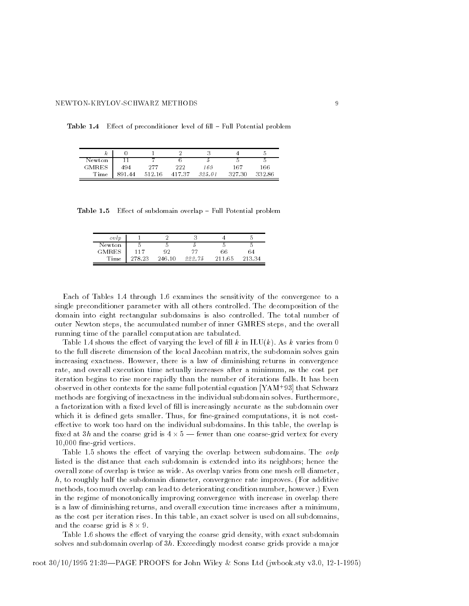**Table 1.4** Effect of preconditioner level of  $\text{III} = \text{F}$  un Fotential problem

| к      |       |        |       |        |        |        |
|--------|-------|--------|-------|--------|--------|--------|
| Newton |       | -      |       |        |        |        |
| GMRES  | 494   | 277    | 222   | 169    | 167    | 166    |
| Time   | 89144 | 512.16 | 41737 | 325.01 | 327.30 | 332.86 |

**Lable 1.0** Effect of subdomain overlap  $\top$  full 1 overlial problem

| ovlp         |        |        |        |        |       |
|--------------|--------|--------|--------|--------|-------|
| Newton       |        |        |        |        |       |
| <b>GMRES</b> | 117    | 92     | ツツ     | 66     | 64    |
| Time         | 278.23 | 246.10 | 222.75 | 211 65 | 21334 |

Each of Tables 1.4 through 1.6 examines the sensitivity of the convergence to a single preconditioner parameter with all others controlled The decomposition of the domain into eight rectangular subdomains is also controlled The total number of outer Newton steps, the accumulated number of inner GMRES steps, and the overall running time of the parallel computation are tabulated

Table  $s$  shows the economic the level of late  $\mathbb{R}$  in ILUK As k varying the level of late  $\mathbb{R}$ to the full discrete dimension of the local Jacobian matrix, the subdomain solves gain increasing exactness. However, there is a law of diminishing returns in convergence rate, and overall execution time actually increases after a minimum, as the cost per iteration begins to rise more rapidly than the number of iterations falls. It has been observed in other contexts for the same full potential equation [TAM] ' 95] that Schwarz methods are forgiving of inexactness in the individual subdomain solves Furthermore a factorization with a fixed level of fill is increasingly accurate as the subdomain over which it is defined gets smaller. Thus, for fine-grained computations, it is not costective to work to work to work to work to work to work to work the individual subdomains In this table  $\mathbb{R}^n$ xed at - and the coarse grid is few than one coarse for a fewer than  $\sim$  . The coarse for  $\sim$  $10,000$  fine-grid vertices.

Table shows the e ect of varying the overlap between subdomains The ovlp listed is the distance that each subdomain is extended into its neighbors; hence the overall zone of overlap is twice as wide As overlap varies from one mesh cell diameter  $h$ , to roughly half the subdomain diameter, convergence rate improves. (For additive methods, too much overlap can lead to deteriorating condition number, however.) Even in the regime of monotonically improving convergence with increase in overlap there is a law of diminishing returns, and overall execution time increases after a minimum, as the cost per iteration rises. In this table, an exact solver is used on all subdomains, and the coarse grid is  $8 \times 9$ .

Table shows the e ect of varying the coarse grid density with exact subdomain solves and subdomain overlap of -h Exceedingly modest coarse grids provide a major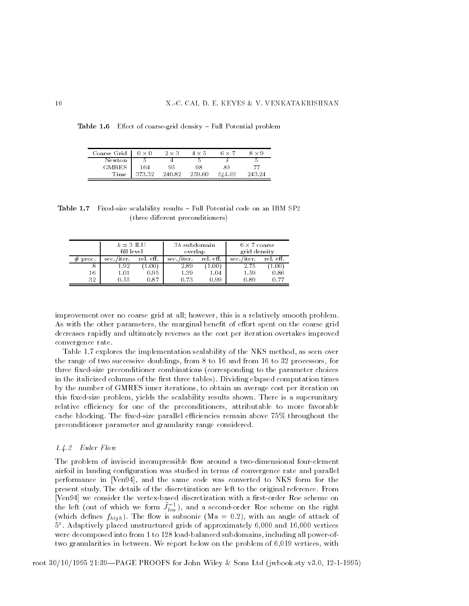**Table 1.0** Effect of coarse-grid density  $=$  Pull Potential problem

| Coarse Grid           | $0 \times 0$ | $2 \times 3$ | $4 \times 5$ | 6 × 7  | $8 \times 9$ |
|-----------------------|--------------|--------------|--------------|--------|--------------|
| Newton                |              |              |              |        |              |
| <b>GMRES</b>          | 164          | 95           | 98           | 89     | 77           |
| $\operatorname{Time}$ | 373.32       | 240.82       | 259.60       | 245.02 | 243.24       |

**Table 1.1** Fixed size scalability results  $\pm$  run I otential code on an IBM SP  $\Delta$ (three different preconditioners)

|       | $k=3$ ILU<br>fill level |           | 3h subdomain<br>overlap |                     | $6 \times 7$ coarse<br>grid density |                |
|-------|-------------------------|-----------|-------------------------|---------------------|-------------------------------------|----------------|
| proc. | sec./iter.              | rel. eff. | sec./iter.              | rel. eft.           | sec./iter.                          | rel. eff.      |
| 8     | 1.92                    | 1.00      | 2.89                    | $1.00$ <sup>+</sup> | 2.75                                | $1.00^{\circ}$ |
| 16    | $1.01\,$                | 0.95      | 1.39                    | 1.04                | 1.59                                | 0.86           |
| 32    | 0.55                    | 0.87      | 0.73                    | 0.99                | 0.89                                | 0.77           |

improvement over no coarse grid at all; however, this is a relatively smooth problem. as with the other parameters, the maniginal benefit is ensure spent on the coarse grid. decreases rapidly and ultimately reverses as the cost per iteration overtakes improved convergence rate

Table 1.7 explores the implementation scalability of the NKS method, as seen over the range of two successive doublings from to  $\mathbf{f}_t$  from to  $\mathbf{f}_t$  from to  $\mathbf{f}_t$ three fixed-size preconditioner combinations (corresponding to the parameter choices in the italicized columns of the first three tables). Dividing elapsed computation times by the number of GMRES inner iterations, to obtain an average cost per iteration on this fixed-size problem, yields the scalability results shown. There is a superunitary relative efficiency for one of the preconditioners, attributable to more favorable cache blocking. The fixed-size parallel efficiencies remain above  $75\%$  throughout the preconditioner parameter and granularity range considered

#### $\ldots$   $\ldots$   $\ldots$   $\ldots$

The problem of inviscid incompressible flow around a two-dimensional four-element airfoil in landing configuration was studied in terms of convergence rate and parallel performance in [Ven94], and the same code was converted to NKS form for the present study The details of the discretization are left to the original reference From [Ven94] we consider the vertex-based discretization with a first-order Roe scheme on the left (out of which we form  $J_{low}$ ), and a second-order Roe scheme on the right (which defines  $f_{high}$ ). The flow is subsonic (Ma = 0.2), with an angle of attack of  $9^\circ$  . Adaptively placed unstructured grids of approximately 0,000 and 10,000 vertices were decomposed into from 1 to 128 load-balanced subdomains, including all power-oftwo granularities in between. We report below on the problem of  $6,019$  vertices, with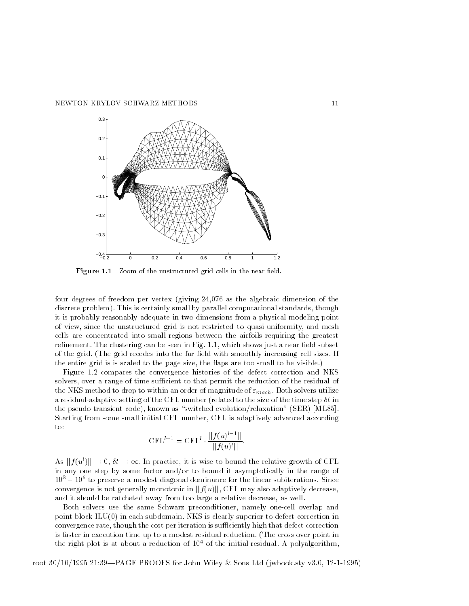

Figure 1.1 Zoom of the unstructured grid cells in the near field.

four degrees of freedom per vertex (giving  $24,076$  as the algebraic dimension of the discrete problem). This is certainly small by parallel computational standards, though it is probably reasonably adequate in two dimensions from a physical modeling point of view, since the unstructured grid is not restricted to quasi-uniformity, and mesh cells are concentrated into small regions between the airfoils requiring the greatest refinement. The clustering can be seen in Fig.  $1.1$ , which shows just a near field subset of the grid. (The grid recedes into the far field with smoothly increasing cell sizes. If the entire grid is is scaled to the page size, the flaps are too small to be visible.)

Figure 1.2 compares the convergence histories of the defect correction and NKS solvers, over a range of time sufficient to that permit the reduction of the residual of the NKS method to drop to within an order of magnitude of  $\varepsilon_{mach}$ . Both solvers utilize a residual adaptive setting of the CFL number relationship of the size of the size of the size of the time step  $\mathcal{A}$ the pseudo-transient code), known as "switched evolution/relaxation"  $(SER)$  [ML85]. Starting from some small initial CFL number, CFL is adaptively advanced according  $\mathbf{to}$ :

$$
CFL^{l+1} = CFL^{l} \cdot \frac{||f(u)^{l-1}||}{||f(u)^{l}||}.
$$

As  $||f(u)|| \rightarrow 0, \, \mathit{ot} \rightarrow \infty$ . In practice, it is wise to bound the relative growth of CFL in any one step by some factor and/or to bound it asymptotically in the range of to preserve a modest diagonal dominance for the linear subiterations Since convergence is not generally monotonic in  $||f(u)||$ . CFL may also adaptively decrease, and it should be ratcheted away from too large a relative decrease, as well.

Both solvers use the same Schwarz preconditioner, namely one-cell overlap and point-block  $ILU(0)$  in each subdomain. NKS is clearly superior to defect correction in convergence rate, though the cost per iteration is sufficiently high that defect correction is faster in execution time up to a modest residual reduction. (The cross-over point in the right plot is at about a reduction of  $10^4$  of the initial residual. A polyalgorithm,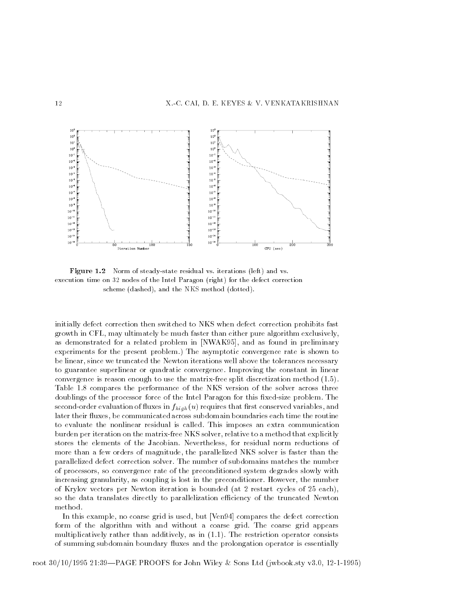

**Figure 1.2** INOTHE OF Steady-State residual vs. Herations (felt) and vs. execution time on 32 nodes of the Intel Paragon (right) for the defect correction scheme dashed and the NKS method document and the NKS matched

initially defect correction then switched to NKS when defect correction prohibits fast growth in CFL, may ultimately be much faster than either pure algorithm exclusively, as demonstrated for a related problem in [NWAK95], and as found in preliminary experiments for the present problem.) The asymptotic convergence rate is shown to be linear, since we truncated the Newton iterations well above the tolerances necessary to guarantee superlinear or quadratic convergence Improving the constant in linear convergence is reason enough to use the matrix-free split discretization method  $(1.5)$ . Table 1.8 compares the performance of the NKS version of the solver across three doublings of the processor force of the Intel Paragon for this fixed-size problem. The secondorder evaluation of uses in factories that requires that requires that requires that requires that requires  $\alpha$ later their fluxes, be communicated across subdomain boundaries each time the routine to evaluate the nonlinear residual is called. This imposes an extra communication burden per iteration on the matrix-free NKS solver, relative to a method that explicitly stores the elements of the Jacobian. Nevertheless, for residual norm reductions of more than a few orders of magnitude, the parallelized NKS solver is faster than the parallelized defect correction solver The number of subdomains matches the number of processors, so convergence rate of the preconditioned system degrades slowly with increasing granularity, as coupling is lost in the preconditioner. However, the number of Krylov vectors per Newton iteration is bounded (at 2 restart cycles of  $25$  each), so the data translates directly to parallelization efficiency of the truncated Newton method.

In this example, no coarse grid is used, but  $[Van94]$  compares the defect correction form of the algorithm with and without a coarse grid. The coarse grid appears multiplicatively rather than additively, as in  $(1.1)$ . The restriction operator consists of summing subdomain boundary fluxes and the prolongation operator is essentially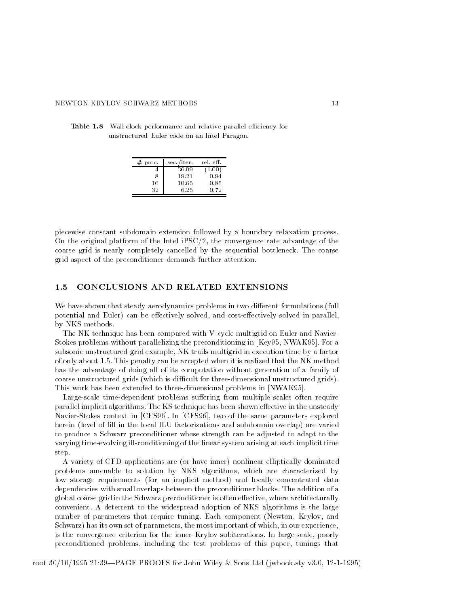| proc.<br># | sec./iter. | rel. eff. |
|------------|------------|-----------|
|            | 36.09      | (1.00)    |
| 8          | 19.21      | 0.94      |
| 16         | 10.65      | 0.85      |
| 32         | 6.25       | 0.72      |

**Table 1.6** Wall-clock performance and relative parallel entitlency for unstructured Euler code on an Intel Paragon

piecewise constant subdomain extension followed by a boundary relaxation process On the original platform of the Intel  $\text{PSC}/2$ , the convergence rate advantage of the coarse grid is nearly completely cancelled by the sequential bottleneck The coarse grid aspect of the preconditioner demands further attention

## 1.5 CONCLUSIONS AND RELATED EXTENSIONS

we have shown that steady are shown in the steady through the steady contributions for the steady of the steady potential and Euler can be e ectively solved and coste ectively solved in parallel by NKS methods

The NK technique has been compared with V-cycle multigrid on Euler and Navier-Stokes problems without parallelizing the preconditioning in  $Key95$ , NWAK95. For a subsonic unstructured grid example, NK trails multigrid in execution time by a factor of only about 1.5. This penalty can be accepted when it is realized that the NK method has the advantage of doing all of its computation without generation of a family of coarse unstructured grids (which is difficult for three-dimensional unstructured grids). This work has been extended to three-dimensional problems in [NWAK95].

Largescale timedependent problems su ering from multiple scales often require parallel implicit algorithms The KS technique has been shown e ective in the unsteady Navier-Stokes context in [CFS96]. In [CFS96], two of the same parameters explored herein (level of fill in the local ILU factorizations and subdomain overlap) are varied to produce a Schwarz preconditioner whose strength can be adjusted to adapt to the varying time-evolving ill-conditioning of the linear system arising at each implicit time step

A variety of CFD applications are (or have inner) nonlinear elliptically-dominated problems amenable to solution by NKS algorithms, which are characterized by low storage requirements (for an implicit method) and locally concentrated data dependencies with small overlaps between the preconditioner blocks The addition of a global coarse grid in the Schwarz preconditioner is often extensive and the Schwarz preconditioner is often extensive architectural lyrically conditioner is often extensive and the Schwarz preconditioner is often extensiv convenient A deterrent to the widespread adoption of NKS algorithms is the large number of parameters that require tuning. Each component (Newton, Krylov, and Schwarz) has its own set of parameters, the most important of which, in our experience, is the convergence criterion for the inner Krylov subiterations. In large-scale, poorly preconditioned problems, including the test problems of this paper, tunings that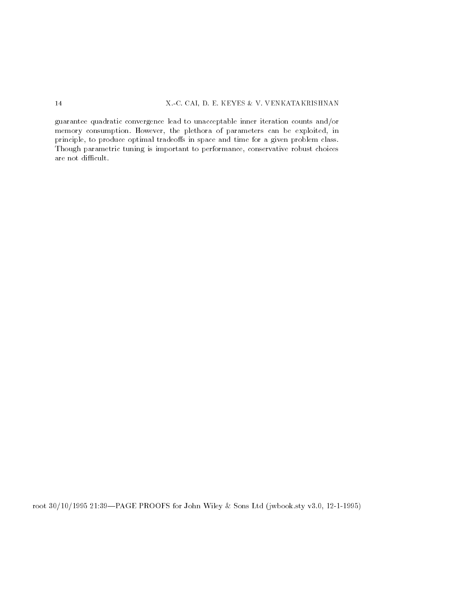guarantee quadratic convergence lead to unacceptable inner iteration counts and/or memory consumption. However, the plethora of parameters can be exploited, in principles in produce optimizes indicated in opdice and time for a given produced classes Though parametric tuning is important to performance, conservative robust choices are not difficult.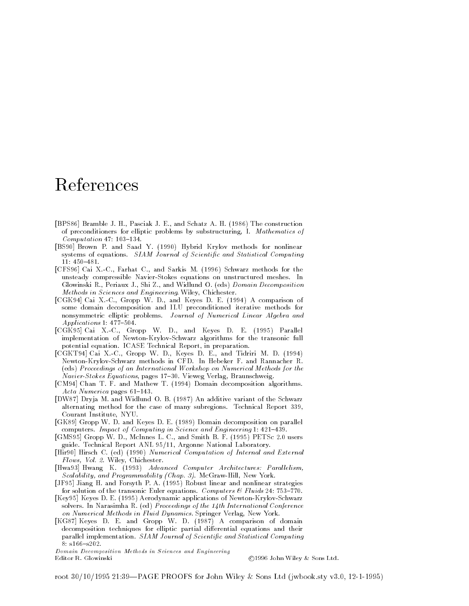# References

- $\blacksquare$  . The construction of the construction of the construction of the construction of the construction of the construction of the construction of the construction of the construction of the construction of the construc of preconditioners for elliptic problems by substructuring- I Mathematics of Computation in the computation of the computation of the computation of the computation of the computation of the computation of the computation of the computation of the computation of the computation of the computation o
- [BS90] Brown P. and Saad Y. (1990) Hybrid Krylov methods for nonlinear systems of equations. SIAM Journal of Scientific and Statistical Computing
- $\blacksquare$  . The case of the case of the case of the case of the case of the case of the case of the case of the case of the case of the case of the case of the case of the case of the case of the case of the case of the case unsteady compressible Navier-Stokes equations on unstructured meshes. In  $\mathbf{P} = \mathbf{P}$ methods in Sciences and Engineering Wiley-Steel, Schedulers,
- , and a comparison of the comparison of the comparison of the comparison of the comparison of the comparison of some domain decomposition and ILU preconditioned iterative methods for nonsymmetric elliptic problems. Journal of Numerical Linear Algebra and Applications
- rested to the contract when the contract of the contract of the contract of the contract of the contract of the implementation of Newton-Krylov-Schwarz algorithms for the transonic full potential equation ICASE Technical Report- in preparation
- and Cai XC-Cai XC-Cai XC-Cai XC-Cai XC-Cai XC-Cai XC-Cai XC-Cai XC-Cai XC-Cai XC-Cai XC-Cai XC-Cai XC-Cai XC-C Newton-Krylov-Schwarz methods in CFD. In Hebeker F. and Rannacher R. (eds) Proceedings of an International Workshop on Numerical Methods for the naviers- pages et al. Stockes Equations- pages et al. Stockes Equations- pages et al. Stockes Equations- pages
- [CM94] Chan T. F. and Mathew T. (1994) Domain decomposition algorithms. Acta Numerica pages
- [DW87] Dryja M. and Widlund O. B. (1987) An additive variant of the Schwarz alternating method for the case of many subregions. Technical Report 339, Courant Institute, NYU.
- [GK89] Gropp W. D. and Keyes D. E. (1989) Domain decomposition on parallel computers Impact of Computing in Science and Engineering
- , where  $\epsilon$  , we have the contract with an extremely working the second contract of the second contract of the second contract of the second contract of the second contract of the second contract of the second contract of argon - Argonne Mercycle Angeles Andrew Margonne National Laboratory
- [Hir90] Hirsch C. (ed) (1990) Numerical Computation of Internal and External Flows- Vol Wiley- Chichester
- [Hwa93] Hwang K. (1993) Advanced Computer Architectures: Parallelism, scalability, which is a programmability of the Programmability Chapter of the Programmability Chapter of the C
- [JF95] Jiang H. and Forsyth P. A. (1995) Robust linear and nonlinear strategies for solution of the transonic Euler equations Computers Fluids
- [Key95] Keyes D. E. (1995) Aerodynamic applications of Newton-Krylov-Schwarz solvers In Narasimha R ed Proceedings of the th International Conference on Numerical Methods in Fluid Dynamics Springer Verlag- New York
- [KG87] Keyes D. E. and Gropp W. D. (1987) A comparison of domain decomposition techniques for elliptic partial differential equations and their parallel implementation. SIAM Journal of Scientific and Statistical Computing

Domain Decomposition Methods in Sciences and EngineeringEditor R. Glowinski

©1996 John Wiley & Sons Ltd.